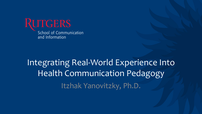

### Integrating Real-World Experience Into Health Communication Pedagogy Itzhak Yanovitzky, Ph.D.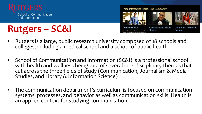

School of Communication and Information

# **Rutgers – SC&I**

Three Intersecting Fields, One Community







Communication dedicated to the advancement of

Journalism and Media **Studies** 

Library and Information Science

- Rutgers is a large, public research university composed of 18 schools and colleges, including a medical school and a school of public health
- School of Communication and Information (SC&I) is a professional school with health and wellness being one of several interdisciplinary themes that cut across the three fields of study (Communication, Journalism & Media Studies, and Library & Information Science)
- The communication department's curriculum is focused on communication systems, processes, and behavior as well as communication skills; Health is an applied context for studying communication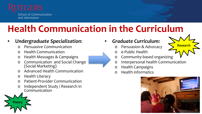

## **Health Communication in the Curriculum**

#### • *Undergraduate Specialization*:

- o Persuasive Communication
- o Health Communication
- o Health Messages & Campaigns
- <sup>o</sup> Communication and Social Change (Social Marketing)
- Advanced Health Communication
- o Health Literacy
- o Patient-Provider Communication
- o Independent Study / Research in Communication



- o Persuasion & Advocacy
- o e-Public Health
- o Community-based organizing
- o Interpersonal health Communication
- o Health Campaigns
- o Health informatics



**Research**

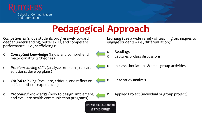

# **Pedagogical Approach**

*Competencies* (move students progressively toward deeper understanding, better skills, and competent performance – i.e., scaffolding):

- <sup>o</sup> *Conceptual knowledge* (know and comprehend major constructs/theories)
- <sup>o</sup> *Problem-solving skills*(analyze problems, research solutions, develop plans)
- <sup>o</sup> *Critical thinking* (evaluate, critique, and reflect on self and others' experiences)
- <sup>o</sup> *Procedural knowledge* (how to design, implement, and evaluate health communication programs)

**IT'S NOT THE DESTINATION IT'S THE JOURNEY** 

*Learning* (use a wide variety of teaching techniques to engage students – i.e., differentiation):



- o Readings
- o Lectures & class discussions
- o In-class simulations & small group activities
- o Case study analysis
- o Applied Project (individual or group project)

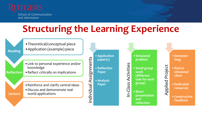

School of Communication and Information

## **Structuring the Learning Experience**



•Theoretical/conceptual piece •Application (example) piece

- •Link to personal experience and/or knowledge
- **Reflection** •Reflect critically on implications

•Reinforce and clarify central ideas •Discuss and demonstrate realworld applications

**Individual Application**<br>• Reflection<br>• Reflection<br>• Paper<br>• Analysis<br>• Paper<br>• Paper<br>• CONDING PAPER **paper(s)** •**Reflection Paper** •**Analysis Paper**

• Simulated<br>
problem<br>
• Small grou<br>
• Small grou<br>
(different<br>
task for ea<br>
group)<br>
• Short<br> **Presentation problem**  •**Small group work (different task for each group)**

•**Short presentation and reflection**

**long**

Applied Project •**Semester-**•**Real or simulated client**

•**Dedicated resources**

•**Constructive Feedback**

**Lecture**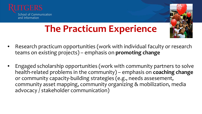



# **The Practicum Experience**

- Research practicum opportunities (work with individual faculty or research teams on existing projects) – emphasis on **promoting change**
- Engaged scholarship opportunities (work with community partners to solve health-related problems in the community) – emphasis on **coaching change**  or community capacity-building strategies (e.g., needs assesement, community asset mapping, community organizing & mobilization, media advocacy / stakeholder communication)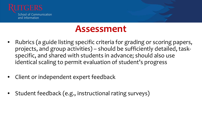

#### **Assessment**

- Rubrics (a guide listing specific criteria for grading or scoring papers, projects, and group activities) – should be sufficiently detailed, taskspecific, and shared with students in advance; should also use identical scaling to permit evaluation of student's progress
- Client or independent expert feedback
- Student feedback (e.g., instructional rating surveys)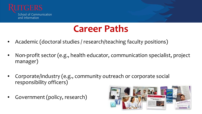

#### **Career Paths**

- Academic (doctoral studies / research/teaching faculty positions)
- Non-profit sector (e.g., health educator, communication specialist, project manager)
- Corporate/industry (e.g., community outreach or corporate social responsibility officers)
- Government (policy, research)